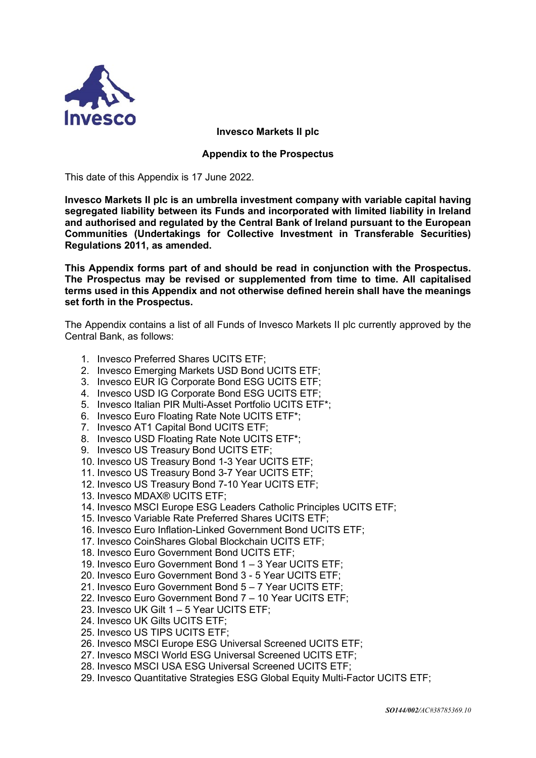

## **Invesco Markets II plc**

## **Appendix to the Prospectus**

This date of this Appendix is 17 June 2022.

**Invesco Markets II plc is an umbrella investment company with variable capital having segregated liability between its Funds and incorporated with limited liability in Ireland and authorised and regulated by the Central Bank of Ireland pursuant to the European Communities (Undertakings for Collective Investment in Transferable Securities) Regulations 2011, as amended.**

**This Appendix forms part of and should be read in conjunction with the Prospectus. The Prospectus may be revised or supplemented from time to time. All capitalised terms used in this Appendix and not otherwise defined herein shall have the meanings set forth in the Prospectus.** 

The Appendix contains a list of all Funds of Invesco Markets II plc currently approved by the Central Bank, as follows:

- 1. Invesco Preferred Shares UCITS ETF;
- 2. Invesco Emerging Markets USD Bond UCITS ETF;
- 3. Invesco EUR IG Corporate Bond ESG UCITS ETF;
- 4. Invesco USD IG Corporate Bond ESG UCITS ETF;
- 5. Invesco Italian PIR Multi-Asset Portfolio UCITS ETF\*;
- 6. Invesco Euro Floating Rate Note UCITS ETF\*;
- 7. Invesco AT1 Capital Bond UCITS ETF;
- 8. Invesco USD Floating Rate Note UCITS ETF\*;
- 9. Invesco US Treasury Bond UCITS ETF;
- 10. Invesco US Treasury Bond 1-3 Year UCITS ETF;
- 11. Invesco US Treasury Bond 3-7 Year UCITS ETF;
- 12. Invesco US Treasury Bond 7-10 Year UCITS ETF;
- 13. Invesco MDAX® UCITS ETF;
- 14. Invesco MSCI Europe ESG Leaders Catholic Principles UCITS ETF;
- 15. Invesco Variable Rate Preferred Shares UCITS ETF;
- 16. Invesco Euro Inflation-Linked Government Bond UCITS ETF;
- 17. Invesco CoinShares Global Blockchain UCITS ETF;
- 18. Invesco Euro Government Bond UCITS ETF;
- 19. Invesco Euro Government Bond 1 3 Year UCITS ETF;
- 20. Invesco Euro Government Bond 3 5 Year UCITS ETF;
- 21. Invesco Euro Government Bond 5 7 Year UCITS ETF;
- 22. Invesco Euro Government Bond 7 10 Year UCITS ETF;
- 23. Invesco UK Gilt 1 5 Year UCITS ETF;
- 24. Invesco UK Gilts UCITS ETF;
- 25. Invesco US TIPS UCITS ETF;
- 26. Invesco MSCI Europe ESG Universal Screened UCITS ETF;
- 27. Invesco MSCI World ESG Universal Screened UCITS ETF;
- 28. Invesco MSCI USA ESG Universal Screened UCITS ETF;
- 29. Invesco Quantitative Strategies ESG Global Equity Multi-Factor UCITS ETF;